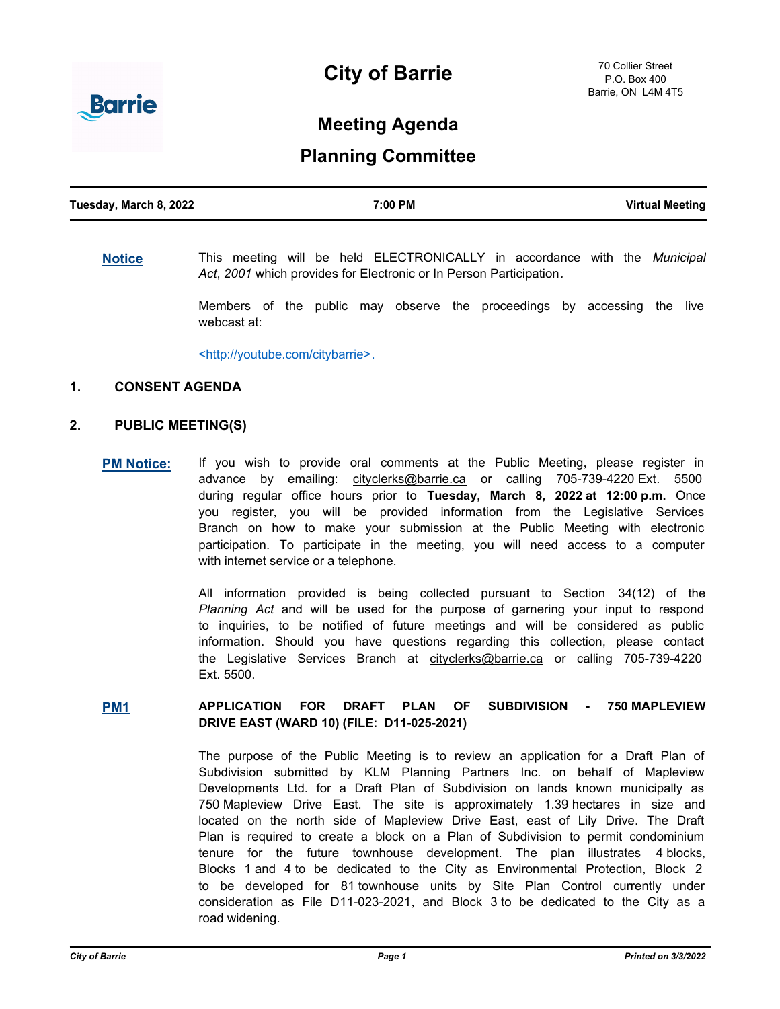# **City of Barrie**



## **Meeting Agenda**

### **Planning Committee**

| Tuesday, March 8, 2022 | 7:00 PM | <b>Virtual Meeting</b> |
|------------------------|---------|------------------------|
|                        |         |                        |

#### **[Notice](http://barrie.ca.legistar.com/gateway.aspx?m=l&id=/matter.aspx?key=46586)** This meeting will be held ELECTRONICALLY in accordance with the *Municipal Act*, *2001* which provides for Electronic or In Person Participation*.*

Members of the public may observe the proceedings by accessing the live webcast at:

<http://youtube.com/citybarrie>.

#### **1. CONSENT AGENDA**

#### **2. PUBLIC MEETING(S)**

**[PM Notice:](http://barrie.ca.legistar.com/gateway.aspx?m=l&id=/matter.aspx?key=46461)** If you wish to provide oral comments at the Public Meeting, please register in advance by emailing: cityclerks@barrie.ca or calling 705-739-4220 Ext. 5500 during regular office hours prior to **Tuesday, March 8, 2022 at 12:00 p.m.** Once you register, you will be provided information from the Legislative Services Branch on how to make your submission at the Public Meeting with electronic participation. To participate in the meeting, you will need access to a computer with internet service or a telephone.

> All information provided is being collected pursuant to Section 34(12) of the *Planning Act* and will be used for the purpose of garnering your input to respond to inquiries, to be notified of future meetings and will be considered as public information. Should you have questions regarding this collection, please contact the Legislative Services Branch at cityclerks@barrie.ca or calling 705-739-4220 Ext. 5500.

#### **[PM1](http://barrie.ca.legistar.com/gateway.aspx?m=l&id=/matter.aspx?key=50195) APPLICATION FOR DRAFT PLAN OF SUBDIVISION - 750 MAPLEVIEW DRIVE EAST (WARD 10) (FILE: D11-025-2021)**

The purpose of the Public Meeting is to review an application for a Draft Plan of Subdivision submitted by KLM Planning Partners Inc. on behalf of Mapleview Developments Ltd. for a Draft Plan of Subdivision on lands known municipally as 750 Mapleview Drive East. The site is approximately 1.39 hectares in size and located on the north side of Mapleview Drive East, east of Lily Drive. The Draft Plan is required to create a block on a Plan of Subdivision to permit condominium tenure for the future townhouse development. The plan illustrates 4 blocks, Blocks 1 and 4 to be dedicated to the City as Environmental Protection, Block 2 to be developed for 81 townhouse units by Site Plan Control currently under consideration as File D11-023-2021, and Block 3 to be dedicated to the City as a road widening.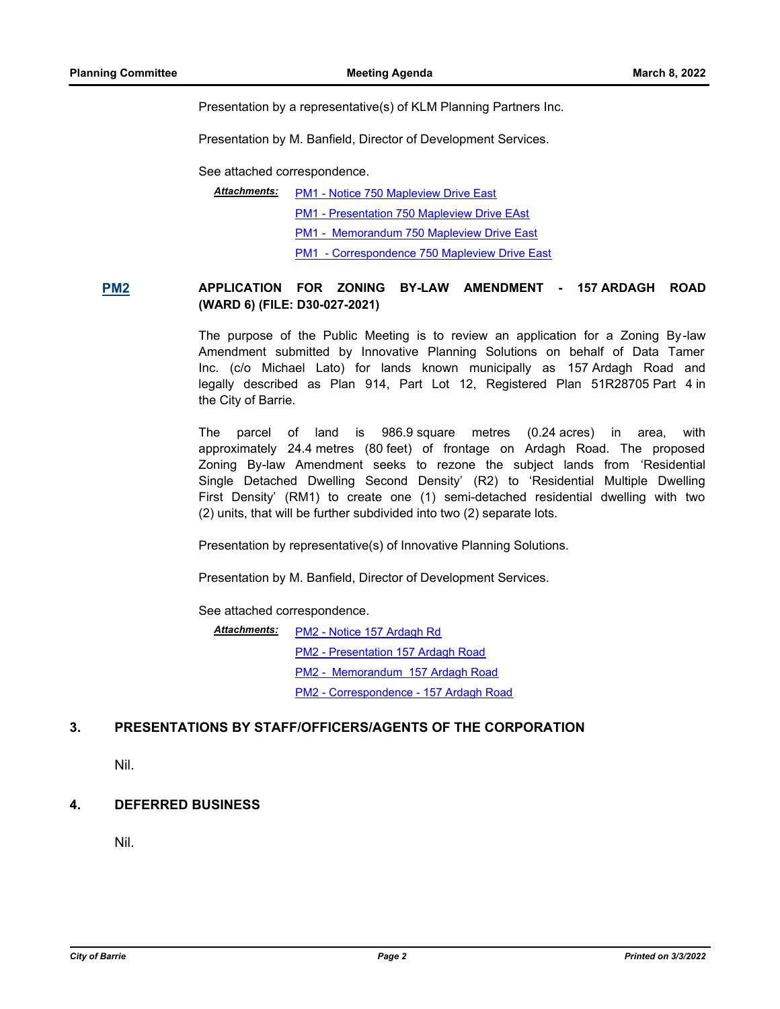Presentation by a representative(s) of KLM Planning Partners Inc.

Presentation by M. Banfield, Director of Development Services.

See attached correspondence.

[PM1 - Notice 750 Mapleview Drive East](http://barrie.ca.legistar.com/gateway.aspx?M=F&ID=30721639-470e-488f-abf9-9df8780fef17.pdf) *Attachments:*

[PM1 - Presentation 750 Mapleview Drive EAst](http://barrie.ca.legistar.com/gateway.aspx?M=F&ID=873f0ea2-efbb-4a41-a0f6-d82f8e20667f.pdf)

[PM1 - Memorandum 750 Mapleview Drive East](http://barrie.ca.legistar.com/gateway.aspx?M=F&ID=05362f29-92aa-40fc-8657-377c914ee48e.pdf)

[PM1 - Correspondence 750 Mapleview Drive East](http://barrie.ca.legistar.com/gateway.aspx?M=F&ID=29aae2a4-c03c-44fc-a674-cfbf4bab2bbb.pdf)

#### **[PM2](http://barrie.ca.legistar.com/gateway.aspx?m=l&id=/matter.aspx?key=50197) APPLICATION FOR ZONING BY-LAW AMENDMENT - 157 ARDAGH ROAD (WARD 6) (FILE: D30-027-2021)**

The purpose of the Public Meeting is to review an application for a Zoning By-law Amendment submitted by Innovative Planning Solutions on behalf of Data Tamer Inc. (c/o Michael Lato) for lands known municipally as 157 Ardagh Road and legally described as Plan 914, Part Lot 12, Registered Plan 51R28705 Part 4 in the City of Barrie.

The parcel of land is 986.9 square metres (0.24 acres) in area, with approximately 24.4 metres (80 feet) of frontage on Ardagh Road. The proposed Zoning By-law Amendment seeks to rezone the subject lands from 'Residential Single Detached Dwelling Second Density' (R2) to 'Residential Multiple Dwelling First Density' (RM1) to create one (1) semi-detached residential dwelling with two (2) units, that will be further subdivided into two (2) separate lots.

Presentation by representative(s) of Innovative Planning Solutions.

Presentation by M. Banfield, Director of Development Services.

See attached correspondence.

[PM2 - Notice 157 Ardagh Rd](http://barrie.ca.legistar.com/gateway.aspx?M=F&ID=34c9bb12-7d90-483c-ac37-0840d9e874c9.pdf) [PM2 - Presentation 157 Ardagh Road](http://barrie.ca.legistar.com/gateway.aspx?M=F&ID=08747a96-3d87-4035-8fad-6ec9754239d2.pdf) [PM2 - Memorandum 157 Ardagh Road](http://barrie.ca.legistar.com/gateway.aspx?M=F&ID=868f6aa9-c33e-4929-beec-d8c13b50e0e0.pdf) [PM2 - Correspondence - 157 Ardagh Road](http://barrie.ca.legistar.com/gateway.aspx?M=F&ID=92685627-1b4f-4448-80e5-59267b1ab15d.pdf) *Attachments:*

#### **3. PRESENTATIONS BY STAFF/OFFICERS/AGENTS OF THE CORPORATION**

Nil.

#### **4. DEFERRED BUSINESS**

Nil.